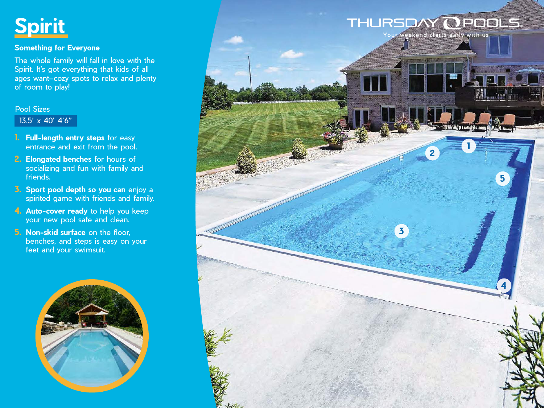

## **Something for Everyone**

The whole family will fall in love with the Spirit. It's got everything that kids of all ages want–cozy spots to relax and plenty of room to play!

## Pool Sizes

13.5' x 40' 4'6"

- **1. Full-length entry steps** for easy entrance and exit from the pool.
- **2. Elongated benches** for hours of socializing and fun with family and friends.
- **3. Sport pool depth so you can** enjoy a spirited game with friends and family.
- **4. Auto-cover ready** to help you keep your new pool safe and clean.
- **5. Non-skid surface** on the floor, benches, and steps is easy on your feet and your swimsuit.